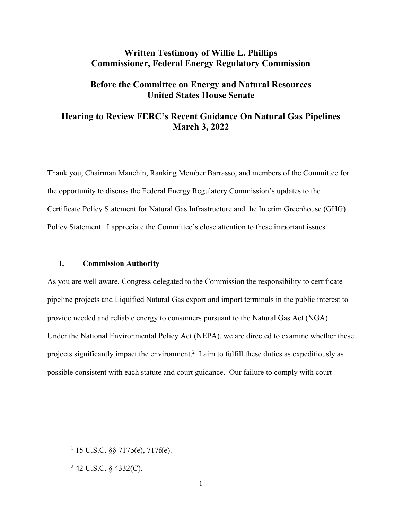# **Written Testimony of Willie L. Phillips Commissioner, Federal Energy Regulatory Commission**

## **Before the Committee on Energy and Natural Resources United States House Senate**

## **Hearing to Review FERC's Recent Guidance On Natural Gas Pipelines March 3, 2022**

Thank you, Chairman Manchin, Ranking Member Barrasso, and members of the Committee for the opportunity to discuss the Federal Energy Regulatory Commission's updates to the Certificate Policy Statement for Natural Gas Infrastructure and the Interim Greenhouse (GHG) Policy Statement. I appreciate the Committee's close attention to these important issues.

### **I. Commission Authority**

As you are well aware, Congress delegated to the Commission the responsibility to certificate pipeline projects and Liquified Natural Gas export and import terminals in the public interest to provide needed and reliable energy to consumers pursuant to the Natural Gas Act (NGA).<sup>1</sup> Under the National Environmental Policy Act (NEPA), we are directed to examine whether these projects significantly impact the environment.<sup>2</sup> I aim to fulfill these duties as expeditiously as possible consistent with each statute and court guidance. Our failure to comply with court

 $115$  U.S.C. §§ 717b(e), 717f(e).

 $2$  42 U.S.C. § 4332(C).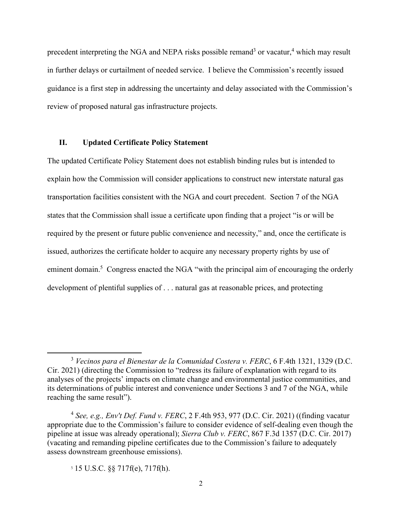precedent interpreting the NGA and NEPA risks possible remand<sup>3</sup> or vacatur,<sup>4</sup> which may result in further delays or curtailment of needed service. I believe the Commission's recently issued guidance is a first step in addressing the uncertainty and delay associated with the Commission's review of proposed natural gas infrastructure projects.

### **II. Updated Certificate Policy Statement**

The updated Certificate Policy Statement does not establish binding rules but is intended to explain how the Commission will consider applications to construct new interstate natural gas transportation facilities consistent with the NGA and court precedent. Section 7 of the NGA states that the Commission shall issue a certificate upon finding that a project "is or will be required by the present or future public convenience and necessity," and, once the certificate is issued, authorizes the certificate holder to acquire any necessary property rights by use of eminent domain.<sup>5</sup> Congress enacted the NGA "with the principal aim of encouraging the orderly development of plentiful supplies of . . . natural gas at reasonable prices, and protecting

<sup>3</sup> *Vecinos para el Bienestar de la Comunidad Costera v. FERC*, 6 F.4th 1321, 1329 (D.C. Cir. 2021) (directing the Commission to "redress its failure of explanation with regard to its analyses of the projects' impacts on climate change and environmental justice communities, and its determinations of public interest and convenience under Sections 3 and 7 of the NGA, while reaching the same result").

<sup>4</sup> *See, e.g., Env't Def. Fund v. FERC*, 2 F.4th 953, 977 (D.C. Cir. 2021) ((finding vacatur appropriate due to the Commission's failure to consider evidence of self-dealing even though the pipeline at issue was already operational); *Sierra Club v. FERC*, 867 F.3d 1357 (D.C. Cir. 2017) (vacating and remanding pipeline certificates due to the Commission's failure to adequately assess downstream greenhouse emissions).

<sup>5</sup> 15 U.S.C. §§ 717f(e), 717f(h).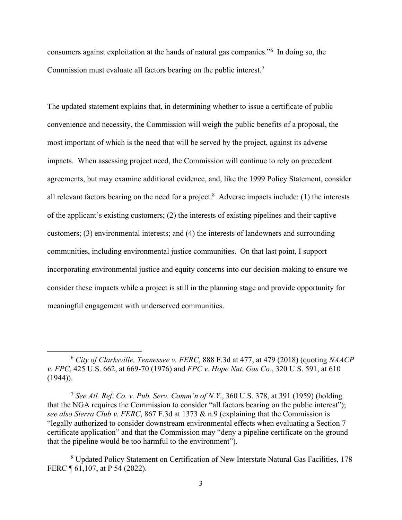consumers against exploitation at the hands of natural gas companies."**<sup>6</sup>** In doing so, the Commission must evaluate all factors bearing on the public interest.**<sup>7</sup>**

The updated statement explains that, in determining whether to issue a certificate of public convenience and necessity, the Commission will weigh the public benefits of a proposal, the most important of which is the need that will be served by the project, against its adverse impacts. When assessing project need, the Commission will continue to rely on precedent agreements, but may examine additional evidence, and, like the 1999 Policy Statement, consider all relevant factors bearing on the need for a project.<sup>8</sup> Adverse impacts include: (1) the interests of the applicant's existing customers; (2) the interests of existing pipelines and their captive customers; (3) environmental interests; and (4) the interests of landowners and surrounding communities, including environmental justice communities. On that last point, I support incorporating environmental justice and equity concerns into our decision-making to ensure we consider these impacts while a project is still in the planning stage and provide opportunity for meaningful engagement with underserved communities.

<sup>6</sup> *City of Clarksville, Tennessee v. FERC*, 888 F.3d at 477, at 479 (2018) (quoting *NAACP v. FPC*, 425 U.S. 662, at 669-70 (1976) and *FPC v. Hope Nat. Gas Co.*, 320 U.S. 591, at 610  $(1944)$ ).

<sup>7</sup> *See Atl. Ref. Co. v. Pub. Serv. Comm'n of N.Y*., 360 U.S. 378, at 391 (1959) (holding that the NGA requires the Commission to consider "all factors bearing on the public interest"); *see also Sierra Club v. FERC*, 867 F.3d at 1373 & n.9 (explaining that the Commission is "legally authorized to consider downstream environmental effects when evaluating a Section 7 certificate application" and that the Commission may "deny a pipeline certificate on the ground that the pipeline would be too harmful to the environment").

<sup>&</sup>lt;sup>8</sup> Updated Policy Statement on Certification of New Interstate Natural Gas Facilities, 178 FERC ¶ 61,107, at P 54 (2022).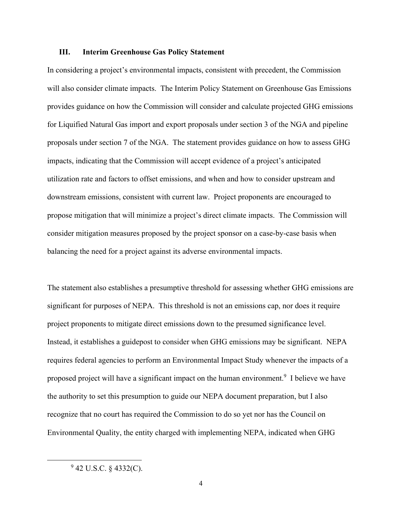### **III. Interim Greenhouse Gas Policy Statement**

In considering a project's environmental impacts, consistent with precedent, the Commission will also consider climate impacts. The Interim Policy Statement on Greenhouse Gas Emissions provides guidance on how the Commission will consider and calculate projected GHG emissions for Liquified Natural Gas import and export proposals under section 3 of the NGA and pipeline proposals under section 7 of the NGA. The statement provides guidance on how to assess GHG impacts, indicating that the Commission will accept evidence of a project's anticipated utilization rate and factors to offset emissions, and when and how to consider upstream and downstream emissions, consistent with current law. Project proponents are encouraged to propose mitigation that will minimize a project's direct climate impacts. The Commission will consider mitigation measures proposed by the project sponsor on a case-by-case basis when balancing the need for a project against its adverse environmental impacts.

The statement also establishes a presumptive threshold for assessing whether GHG emissions are significant for purposes of NEPA. This threshold is not an emissions cap, nor does it require project proponents to mitigate direct emissions down to the presumed significance level. Instead, it establishes a guidepost to consider when GHG emissions may be significant. NEPA requires federal agencies to perform an Environmental Impact Study whenever the impacts of a proposed project will have a significant impact on the human environment.<sup>9</sup> I believe we have the authority to set this presumption to guide our NEPA document preparation, but I also recognize that no court has required the Commission to do so yet nor has the Council on Environmental Quality, the entity charged with implementing NEPA, indicated when GHG

 $9$  42 U.S.C. § 4332(C).